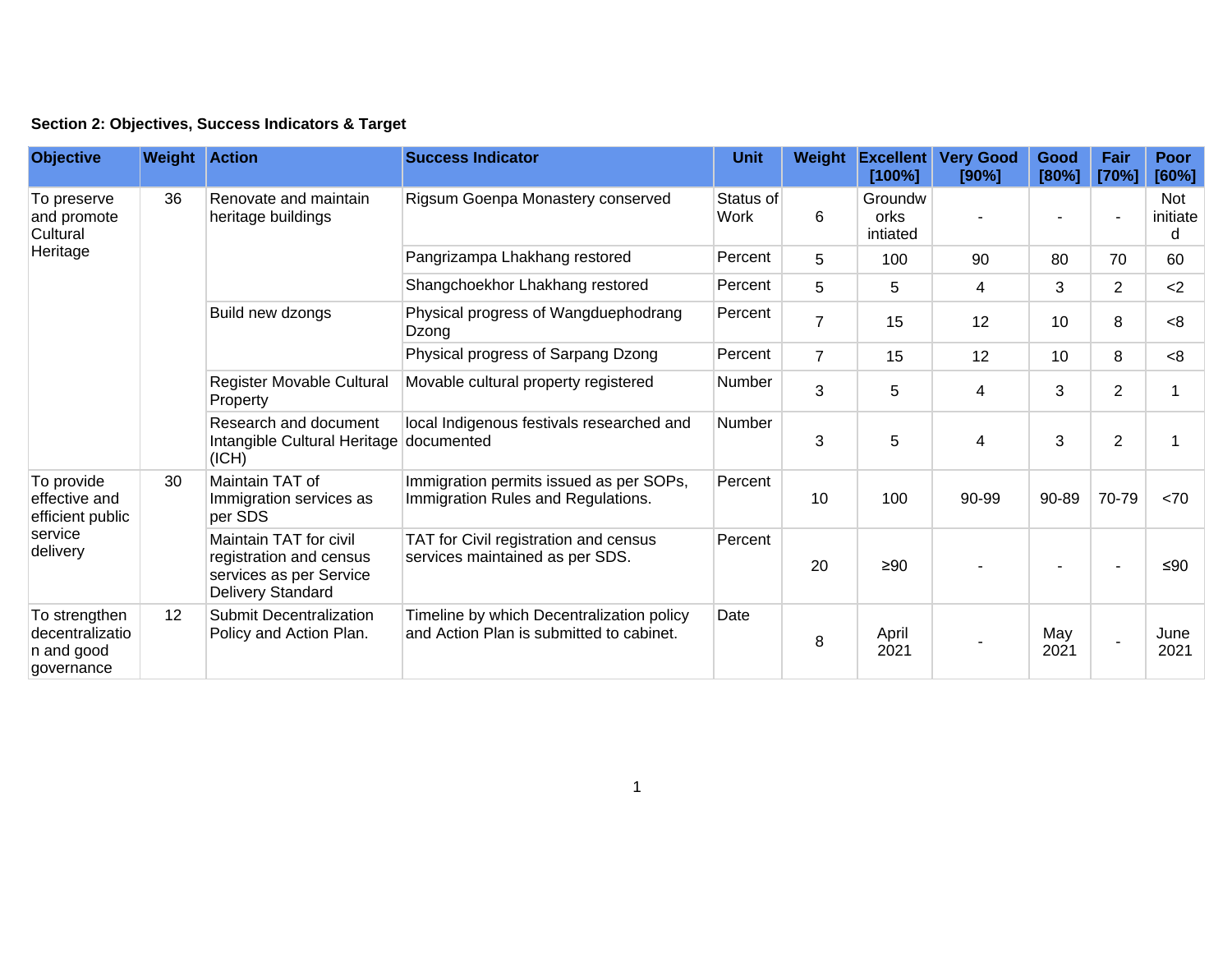| Section 2: Objectives, Success Indicators & Target |  |  |  |  |  |  |
|----------------------------------------------------|--|--|--|--|--|--|
|----------------------------------------------------|--|--|--|--|--|--|

| <b>Objective</b>                                                       | <b>Weight Action</b> |                                                                                                          | <b>Success Indicator</b>                                                              | <b>Unit</b>                                                                   | Weight         | <b>Excellent</b><br>[100%]         | <b>Very Good</b><br>[90%] | Good<br>[80%] | Fair<br>[70%]  | <b>Poor</b><br>[60%]        |     |
|------------------------------------------------------------------------|----------------------|----------------------------------------------------------------------------------------------------------|---------------------------------------------------------------------------------------|-------------------------------------------------------------------------------|----------------|------------------------------------|---------------------------|---------------|----------------|-----------------------------|-----|
| To preserve<br>and promote<br>Cultural                                 | 36                   | Renovate and maintain<br>heritage buildings                                                              | Rigsum Goenpa Monastery conserved                                                     | Status of<br>Work                                                             | 6              | Groundw<br><b>orks</b><br>intiated |                           |               |                | <b>Not</b><br>initiate<br>d |     |
| Heritage                                                               |                      |                                                                                                          | Pangrizampa Lhakhang restored                                                         | Percent                                                                       | 5              | 100                                | 90                        | 80            | 70             | 60                          |     |
|                                                                        |                      |                                                                                                          | Shangchoekhor Lhakhang restored                                                       | Percent                                                                       | 5              | 5                                  | 4                         | 3             | $\overline{2}$ | $2$                         |     |
|                                                                        |                      | Build new dzongs                                                                                         | Physical progress of Wangduephodrang<br>Dzong                                         | Percent                                                                       | $\overline{7}$ | 15                                 | 12                        | 10            | 8              | < 8                         |     |
|                                                                        |                      |                                                                                                          | Physical progress of Sarpang Dzong                                                    | Percent                                                                       | $\overline{7}$ | 15                                 | 12                        | 10            | 8              | < 8                         |     |
|                                                                        |                      | Register Movable Cultural<br>Property                                                                    | Movable cultural property registered                                                  | Number                                                                        | 3              | 5                                  | $\overline{\mathbf{4}}$   | 3             | $\overline{2}$ |                             |     |
|                                                                        |                      | Research and document<br>Intangible Cultural Heritage<br>(ICH)                                           | local Indigenous festivals researched and<br>documented                               | Number                                                                        | 3              | 5                                  | 4                         | 3             | $\overline{2}$ |                             |     |
| To provide<br>effective and<br>efficient public<br>service<br>delivery | 30                   |                                                                                                          | Maintain TAT of<br>Immigration services as<br>per SDS                                 | Immigration permits issued as per SOPs,<br>Immigration Rules and Regulations. | Percent        | 10                                 | 100                       | 90-99         | 90-89          | 70-79                       | <70 |
|                                                                        |                      | Maintain TAT for civil<br>registration and census<br>services as per Service<br><b>Delivery Standard</b> | TAT for Civil registration and census<br>services maintained as per SDS.              | Percent                                                                       | 20             | $\geq 90$                          |                           |               |                | ≤ $90$                      |     |
| To strengthen<br>decentralizatio<br>n and good<br>governance           | 12                   | <b>Submit Decentralization</b><br>Policy and Action Plan.                                                | Timeline by which Decentralization policy<br>and Action Plan is submitted to cabinet. | Date                                                                          | 8              | April<br>2021                      |                           | May<br>2021   | $\blacksquare$ | June<br>2021                |     |